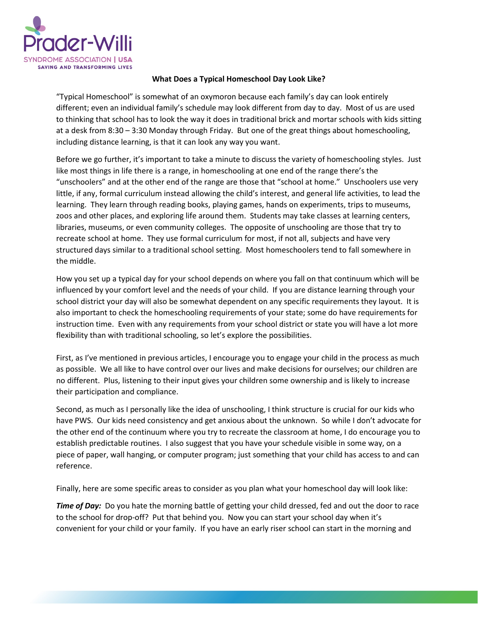

## **What Does a Typical Homeschool Day Look Like?**

"Typical Homeschool" is somewhat of an oxymoron because each family's day can look entirely different; even an individual family's schedule may look different from day to day. Most of us are used to thinking that school has to look the way it does in traditional brick and mortar schools with kids sitting at a desk from 8:30 – 3:30 Monday through Friday. But one of the great things about homeschooling, including distance learning, is that it can look any way you want.

Before we go further, it's important to take a minute to discuss the variety of homeschooling styles. Just like most things in life there is a range, in homeschooling at one end of the range there's the "unschoolers" and at the other end of the range are those that "school at home." Unschoolers use very little, if any, formal curriculum instead allowing the child's interest, and general life activities, to lead the learning. They learn through reading books, playing games, hands on experiments, trips to museums, zoos and other places, and exploring life around them. Students may take classes at learning centers, libraries, museums, or even community colleges. The opposite of unschooling are those that try to recreate school at home. They use formal curriculum for most, if not all, subjects and have very structured days similar to a traditional school setting. Most homeschoolers tend to fall somewhere in the middle.

How you set up a typical day for your school depends on where you fall on that continuum which will be influenced by your comfort level and the needs of your child. If you are distance learning through your school district your day will also be somewhat dependent on any specific requirements they layout. It is also important to check the homeschooling requirements of your state; some do have requirements for instruction time. Even with any requirements from your school district or state you will have a lot more flexibility than with traditional schooling, so let's explore the possibilities.

First, as I've mentioned in previous articles, I encourage you to engage your child in the process as much as possible. We all like to have control over our lives and make decisions for ourselves; our children are no different. Plus, listening to their input gives your children some ownership and is likely to increase their participation and compliance.

Second, as much as I personally like the idea of unschooling, I think structure is crucial for our kids who have PWS. Our kids need consistency and get anxious about the unknown. So while I don't advocate for the other end of the continuum where you try to recreate the classroom at home, I do encourage you to establish predictable routines. I also suggest that you have your schedule visible in some way, on a piece of paper, wall hanging, or computer program; just something that your child has access to and can reference.

Finally, here are some specific areas to consider as you plan what your homeschool day will look like:

*Time of Day:* Do you hate the morning battle of getting your child dressed, fed and out the door to race to the school for drop-off? Put that behind you. Now you can start your school day when it's convenient for your child or your family. If you have an early riser school can start in the morning and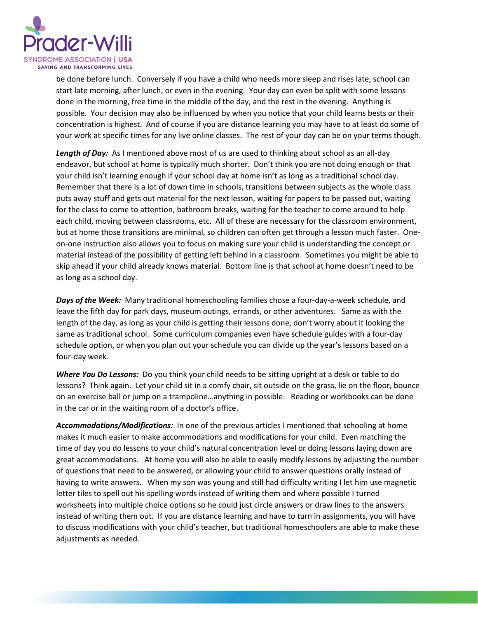

be done before lunch. Conversely if you have a child who needs more sleep and rises late, school can start late morning, after lunch, or even in the evening. Your day can even be split with some lessons done in the morning, free time in the middle of the day, and the rest in the evening. Anything is possible. Your decision may also be influenced by when you notice that your child learns bests or their concentration is highest. And of course if you are distance learning you may have to at least do some of your work at specific times for any live online classes. The rest of your day can be on your terms though.

*Length of Day:* As I mentioned above most of us are used to thinking about school as an all-day endeavor, but school at home is typically much shorter. Don't think you are not doing enough or that your child isn't learning enough if your school day at home isn't as long as a traditional school day. Remember that there is a lot of down time in schools, transitions between subjects as the whole class puts away stuff and gets out material for the next lesson, waiting for papers to be passed out, waiting for the class to come to attention, bathroom breaks, waiting for the teacher to come around to help each child, moving between classrooms, etc. All of these are necessary for the classroom environment, but at home those transitions are minimal, so children can often get through a lesson much faster. Oneon-one instruction also allows you to focus on making sure your child is understanding the concept or material instead of the possibility of getting left behind in a classroom. Sometimes you might be able to skip ahead if your child already knows material. Bottom line is that school at home doesn't need to be as long as a school day.

*Days of the Week:* Many traditional homeschooling families chose a four-day-a-week schedule, and leave the fifth day for park days, museum outings, errands, or other adventures. Same as with the length of the day, as long as your child is getting their lessons done, don't worry about it looking the same as traditional school. Some curriculum companies even have schedule guides with a four-day schedule option, or when you plan out your schedule you can divide up the year's lessons based on a four-day week.

*Where You Do Lessons:* Do you think your child needs to be sitting upright at a desk or table to do lessons? Think again. Let your child sit in a comfy chair, sit outside on the grass, lie on the floor, bounce on an exercise ball or jump on a trampoline…anything in possible. Reading or workbooks can be done in the car or in the waiting room of a doctor's office.

*Accommodations/Modifications:* In one of the previous articles I mentioned that schooling at home makes it much easier to make accommodations and modifications for your child. Even matching the time of day you do lessons to your child's natural concentration level or doing lessons laying down are great accommodations. At home you will also be able to easily modify lessons by adjusting the number of questions that need to be answered, or allowing your child to answer questions orally instead of having to write answers. When my son was young and still had difficulty writing I let him use magnetic letter tiles to spell out his spelling words instead of writing them and where possible I turned worksheets into multiple choice options so he could just circle answers or draw lines to the answers instead of writing them out. If you are distance learning and have to turn in assignments, you will have to discuss modifications with your child's teacher, but traditional homeschoolers are able to make these adjustments as needed.